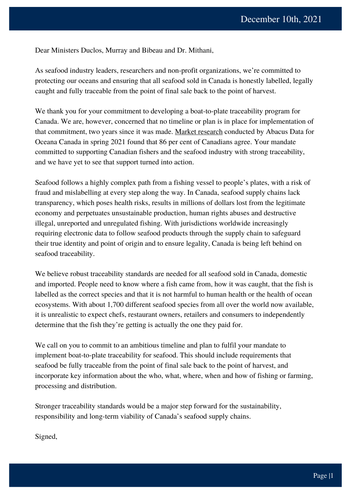Dear Ministers Duclos, Murray and Bibeau and Dr. Mithani,

As seafood industry leaders, researchers and non-profit organizations, we're committed to protecting our oceans and ensuring that all seafood sold in Canada is honestly labelled, legally caught and fully traceable from the point of final sale back to the point of harvest.

We thank you for your commitment to developing a boat-to-plate traceability program for Canada. We are, however, concerned that no timeline or plan is in place for implementation of that commitment, two years since it was made. Market [research](https://oceana.ca/wp-content/uploads/sites/24/oceana_canada_abacus_data_seafood_fraud-_april_2021.pdf) conducted by Abacus Data for Oceana Canada in spring 2021 found that 86 per cent of Canadians agree. Your mandate committed to supporting Canadian fishers and the seafood industry with strong traceability, and we have yet to see that support turned into action.

Seafood follows a highly complex path from a fishing vessel to people's plates, with a risk of fraud and mislabelling at every step along the way. In Canada, seafood supply chains lack transparency, which poses health risks, results in millions of dollars lost from the legitimate economy and perpetuates unsustainable production, human rights abuses and destructive illegal, unreported and unregulated fishing. With jurisdictions worldwide increasingly requiring electronic data to follow seafood products through the supply chain to safeguard their true identity and point of origin and to ensure legality, Canada is being left behind on seafood traceability.

We believe robust traceability standards are needed for all seafood sold in Canada, domestic and imported. People need to know where a fish came from, how it was caught, that the fish is labelled as the correct species and that it is not harmful to human health or the health of ocean ecosystems. With about 1,700 different seafood species from all over the world now available, it is unrealistic to expect chefs, restaurant owners, retailers and consumers to independently determine that the fish they're getting is actually the one they paid for.

We call on you to commit to an ambitious timeline and plan to fulfil your mandate to implement boat-to-plate traceability for seafood. This should include requirements that seafood be fully traceable from the point of final sale back to the point of harvest, and incorporate key information about the who, what, where, when and how of fishing or farming, processing and distribution.

Stronger traceability standards would be a major step forward for the sustainability, responsibility and long-term viability of Canada's seafood supply chains.

Signed,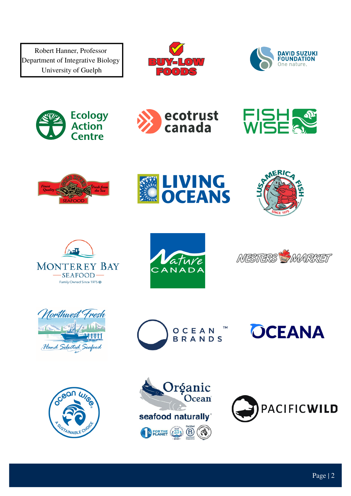Robert Hanner, Professor Department of Integrative Biology University of Guelph





















OCEAN **BRANDS** 











**OCEANA**